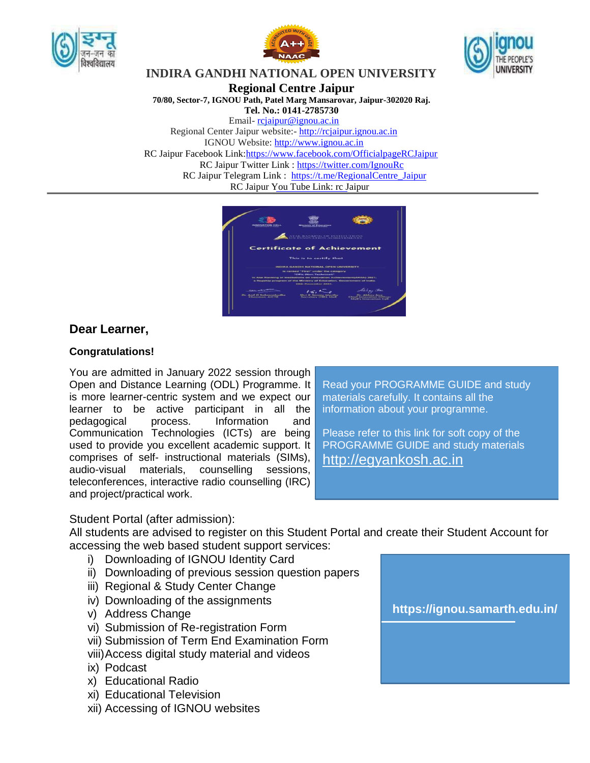





## **INDIRA GANDHI NATIONAL OPEN UNIVERSITY**

**Regional Centre Jaipur**

**70/80, Sector-7, IGNOU Path, Patel Marg Mansarovar, Jaipur-302020 Raj.**

**Tel. No.: 0141-2785730**

Email- [rcjaipur@ignou.ac.in](mailto:rcjaipur@ignou.ac.in)

Regional Center Jaipur website:- [http://rcjaipur.ignou.ac.in](http://rcjaipur.ignou.ac.in/) IGNOU Website: [http://www.ignou.ac.in](http://www.ignou.ac.in/)

RC Jaipur Facebook Link: https://www.facebook.com/OfficialpageRCJaipur

RC Jaipur Twitter Link :<https://twitter.com/IgnouRc>

RC Jaipur Telegram Link : [https://t.me/RegionalCentre\\_Jaipur](https://t.me/RegionalCentre_Jaipur)

RC Jaipur You Tube Link: rc Jaipur

| <b>INFECTION TICHE C.E.L.</b><br>______                           | <b>Mississing of Education</b>                                                                                                                                                                                                                  |                                                                                                      |
|-------------------------------------------------------------------|-------------------------------------------------------------------------------------------------------------------------------------------------------------------------------------------------------------------------------------------------|------------------------------------------------------------------------------------------------------|
|                                                                   | CEAL RANKING OF INSTITUTIONS<br>IN INNOVATION ACHIEVEMENTS                                                                                                                                                                                      |                                                                                                      |
|                                                                   | <b>Certificate of Achievement</b>                                                                                                                                                                                                               |                                                                                                      |
|                                                                   | This is to certify that                                                                                                                                                                                                                         |                                                                                                      |
|                                                                   | <b>INDIRA GANDIO NATIONAL OPEN UNIVERSITY</b>                                                                                                                                                                                                   |                                                                                                      |
|                                                                   | In ranked."Pirat" under the category<br>"Cifits (Non-Technique)"<br>in Asal Ranking of Institutions on Innovation Adhisversent(ARIIA) 2021.<br>a flaguisity program of the Ministry of Education, Oswernmant of India.<br>2011: Desemblar 2021. |                                                                                                      |
| <b>CONSUMERING</b><br>Or, And O Schoersbudhe<br>Chassrooms, AICTR | $k \in \mathcal{N}$<br>Shri K Santar Murthy<br><b>Secondary (1983, Adolf</b>                                                                                                                                                                    | Abbay Tree<br><b>Chr. Adolescy Jose</b><br>Chief Impounding Officer<br><b>Madi's Impoundant Call</b> |

# **Dear Learner,**

## **Congratulations!**

You are admitted in January 2022 session through Open and Distance Learning (ODL) Programme. It is more learner-centric system and we expect our learner to be active participant in all the pedagogical process. Information and Communication Technologies (ICTs) are being used to provide you excellent academic support. It comprises of self- instructional materials (SIMs), audio-visual materials, counselling sessions, teleconferences, interactive radio counselling (IRC) and project/practical work.

Read your PROGRAMME GUIDE and study materials carefully. It contains all the information about your programme.

Please refer to this link for soft copy of the PROGRAMME GUIDE and study materials [http://egyankosh.ac.in](http://egyankosh.ac.in/)

## Student Portal (after admission):

All students are advised to register on this Student Portal and create their Student Account for accessing the web based student support services:

- i) Downloading of IGNOU Identity Card
- ii) Downloading of previous session question papers
- iii) Regional & Study Center Change
- iv) Downloading of the assignments
- v) Address Change
- vi) Submission of Re-registration Form
- vii) Submission of Term End Examination Form
- viii)Access digital study material and videos
- ix) Podcast
- x) Educational Radio
- xi) Educational Television
- xii) Accessing of IGNOU websites

**<https://ignou.samarth.edu.in/>**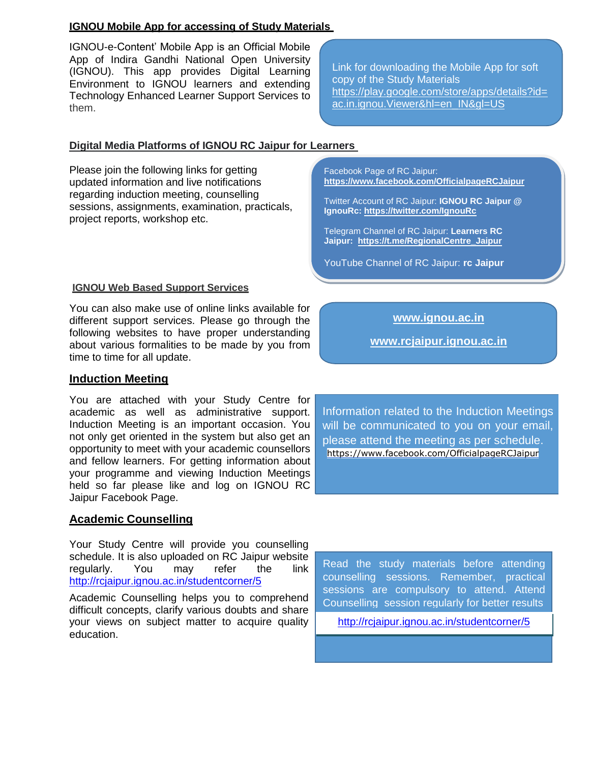### **IGNOU Mobile App for accessing of Study Materials**

IGNOU-e-Content' Mobile App is an Official Mobile App of Indira Gandhi National Open University (IGNOU). This app provides Digital Learning Environment to IGNOU learners and extending Technology Enhanced Learner Support Services to them.

## **Digital Media Platforms of IGNOU RC Jaipur for Learners**

Please join the following links for getting updated information and live notifications regarding induction meeting, counselling sessions, assignments, examination, practicals, project reports, workshop etc.

#### **IGNOU Web Based Support Services**

You can also make use of online links available for different support services. Please go through the following websites to have proper understanding about various formalities to be made by you from time to time for all update.

#### **Induction Meeting**

You are attached with your Study Centre for academic as well as administrative support. Induction Meeting is an important occasion. You not only get oriented in the system but also get an opportunity to meet with your academic counsellors and fellow learners. For getting information about your programme and viewing Induction Meetings held so far please like and log on IGNOU RC Jaipur Facebook Page.

#### **Academic Counselling**

Your Study Centre will provide you counselling schedule. It is also uploaded on RC Jaipur website regularly. You may refer the link <http://rcjaipur.ignou.ac.in/studentcorner/5>

Academic Counselling helps you to comprehend difficult concepts, clarify various doubts and share your views on subject matter to acquire quality education.

Link for downloading the Mobile App for soft copy of the Study Materials [https://play.google.com/store/apps/details?id=](https://play.google.com/store/apps/details?id=ac.in.ignou.Viewer&hl=en_IN&gl=US) [ac.in.ignou.Viewer&hl=en\\_IN&gl=US](https://play.google.com/store/apps/details?id=ac.in.ignou.Viewer&hl=en_IN&gl=US)

Facebook Page of RC Jaipur: **<https://www.facebook.com/OfficialpageRCJaipur>**

Twitter Account of RC Jaipur: **IGNOU RC Jaipur @ IgnouRc: <https://twitter.com/IgnouRc>**

Telegram Channel of RC Jaipur: **Learners RC Jaipur: [https://t.me/RegionalCentre\\_Jaipur](https://t.me/RegionalCentre_Jaipur)**

YouTube Channel of RC Jaipur: **rc Jaipur**

**[www.ignou.ac.in](http://www.ignou.ac.in/)**

**www.rcjaipur.ignou.ac.in**

Information related to the Induction Meetings will be communicated to you on your email, please attend the meeting as per schedule. <https://www.facebook.com/OfficialpageRCJaipur>

Read the study materials before attending counselling sessions. Remember, practical sessions are compulsory to attend. Attend Counselling session regularly for better results

<http://rcjaipur.ignou.ac.in/studentcorner/5>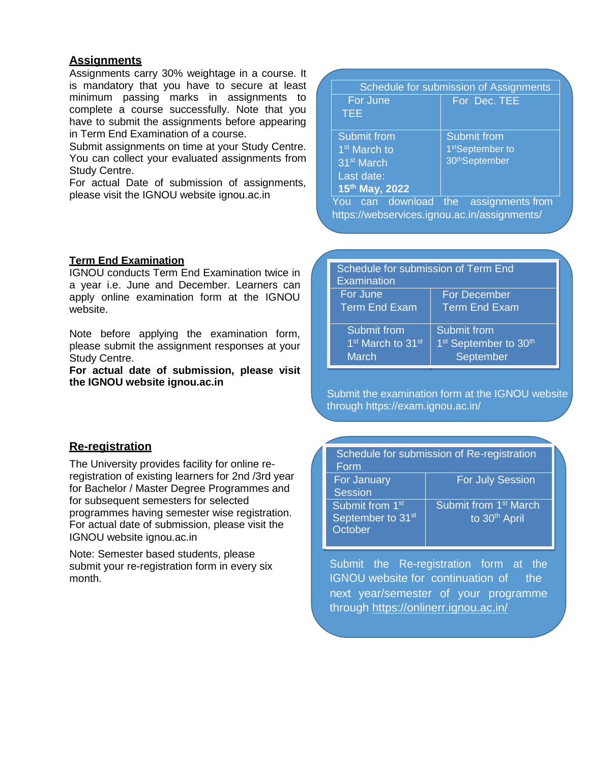## **Assignments**

Assignments carry 30% weightage in a course. It is mandatory that you have to secure at least minimum passing marks in assignments to complete a course successfully. Note that you have to submit the assignments before appearing in Term End Examination of a course.

Submit assignments on time at your Study Centre. You can collect your evaluated assignments from Study Centre.

For actual Date of submission of assignments, please visit the IGNOU website ignou.ac.in

#### **Term End Examination**

IGNOU conducts Term End Examination twice in a year i.e. June and December. Learners can apply online examination form at the IGNOU website.

Note before applying the examination form, please submit the assignment responses at your Study Centre.

**For actual date of submission, please visit the IGNOU website ignou.ac.in**

#### **Re-registration**

The University provides facility for online reregistration of existing learners for 2nd /3rd year for Bachelor / Master Degree Programmes and for subsequent semesters for selected programmes having semester wise registration. For actual date of submission, please visit the IGNOU website ignou.ac.in

Note: Semester based students, please submit your re-registration form in every six month.

| Schedule for submission of Assignments |                              |
|----------------------------------------|------------------------------|
| For June                               | For Dec. TEE                 |
| TEE                                    |                              |
| <b>Submit from</b>                     | <b>Submit from</b>           |
| 1 <sup>st</sup> March to               | 1 <sup>st</sup> September to |
| 31 <sup>st</sup> March                 | 30 <sup>th</sup> September   |
| Last date:                             |                              |
| 15th May, 2022                         |                              |
| can download<br>You                    | assignments from<br>the      |

https://webservices.ignou.ac.in/assignments/

Schedule for submission of Term End **Examination** For June Term End Exam For December Term End Exam Submit from 1<sup>st</sup> March to 31<sup>st</sup> **March** Submit from 1<sup>st</sup> September to 30<sup>th</sup> **September** 

#### Submit the examination form at the IGNOU website through https://exam.ignou.ac.in/

Schedule for submission of Re-registration

| Form                          |                                   |
|-------------------------------|-----------------------------------|
| For January                   | <b>For July Session</b>           |
| <b>Session</b>                |                                   |
| Submit from 1 <sup>st</sup>   | Submit from 1 <sup>st</sup> March |
| September to 31 <sup>st</sup> | to 30 <sup>th</sup> April         |
| October                       |                                   |
|                               |                                   |

Submit the Re-registration form at the IGNOU website for continuation of the next year/semester of your programme through<https://onlinerr.ignou.ac.in/>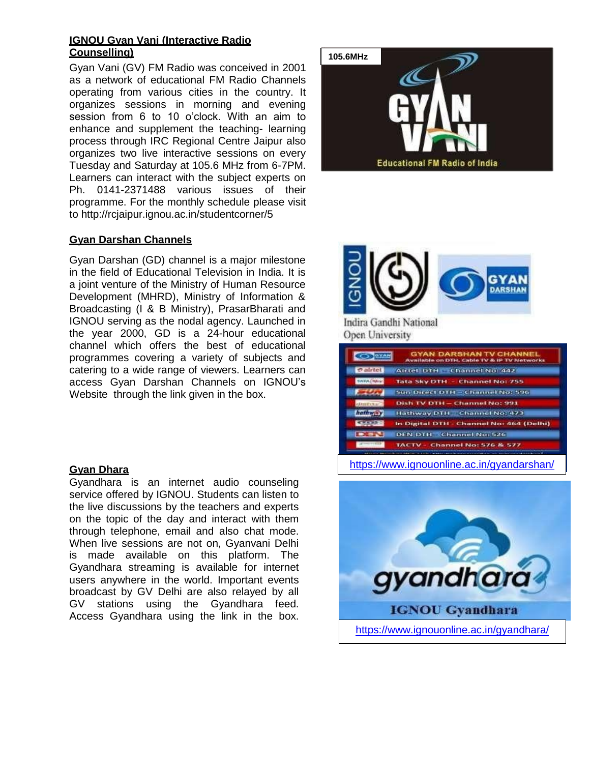#### **IGNOU Gyan Vani (Interactive Radio Counselling)**

Gyan Vani (GV) FM Radio was conceived in 2001 as a network of educational FM Radio Channels operating from various cities in the country. It organizes sessions in morning and evening session from 6 to 10 o'clock. With an aim to enhance and supplement the teaching- learning process through IRC Regional Centre Jaipur also organizes two live interactive sessions on every Tuesday and Saturday at 105.6 MHz from 6-7PM. Learners can interact with the subject experts on Ph. 0141-2371488 various issues of their programme. For the monthly schedule please visit to http://rcjaipur.ignou.ac.in/studentcorner/5

#### **Gyan Darshan Channels**

Gyan Darshan (GD) channel is a major milestone in the field of Educational Television in India. It is a joint venture of the Ministry of Human Resource Development (MHRD), Ministry of Information & Broadcasting (I & B Ministry), PrasarBharati and IGNOU serving as the nodal agency. Launched in the year 2000, GD is a 24-hour educational channel which offers the best of educational programmes covering a variety of subjects and catering to a wide range of viewers. Learners can access Gyan Darshan Channels on IGNOU's Website through the link given in the box.

#### **Gyan Dhara**

Gyandhara is an internet audio counseling service offered by IGNOU. Students can listen to the live discussions by the teachers and experts on the topic of the day and interact with them through telephone, email and also chat mode. When live sessions are not on, Gyanvani Delhi is made available on this platform. The Gyandhara streaming is available for internet users anywhere in the world. Important events broadcast by GV Delhi are also relayed by all GV stations using the Gyandhara feed. Access Gyandhara using the link in the box.





|                              | GYAN DARSHAN TV CHANNEL<br>Available on DTH, Cable TV & IP TV Networks        |
|------------------------------|-------------------------------------------------------------------------------|
| <b><i><u>cairtet</u></i></b> | Airtel DTH Channel No. 442                                                    |
| <b>BAYA (SAW</b>             | Tata Sky DTH - Channel No: 755                                                |
|                              | Sun Direct DTH = Channel No: 596                                              |
| dimitta                      | <b>Dish TV DTH - Channel No: 991</b>                                          |
| hathway                      | Hathway DTH Channel No: 473                                                   |
| <b>Colorado</b>              | In Digital DTH - Channel No: 464 (Delhi)                                      |
| <b>DISN</b>                  | <b>DEN DTH Channel No: 526</b>                                                |
| 142718-22                    | TACTV - Channel No: 576 & 577                                                 |
|                              | and the fiber of financial discovered concerns the case of the first concerns |

<https://www.ignouonline.ac.in/gyandarshan/>